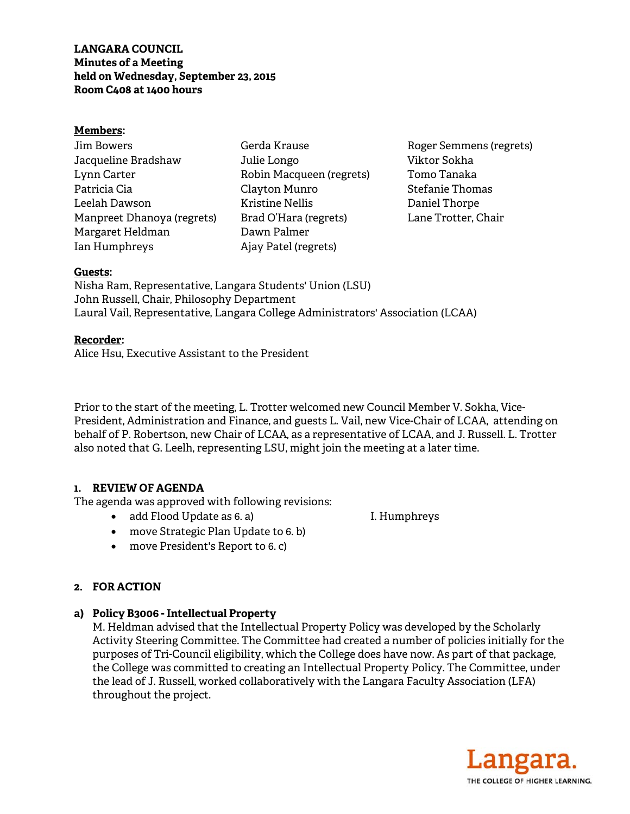### **LANGARA COUNCIL Minutes of a Meeting held on Wednesday, September 23, 2015 Room C408 at 1400 hours**

#### **Members:**

| Jim Bowers                 |
|----------------------------|
| Jacqueline Bradshaw        |
| Lynn Carter                |
| Patricia Cia               |
| Leelah Dawson              |
| Manpreet Dhanoya (regrets) |
| Margaret Heldman           |
| Ian Humphreys              |

Gerda Krause Julie Longo Robin Macqueen (regrets) Clayton Munro Kristine Nellis Brad O'Hara (regrets) Dawn Palmer Ajay Patel (regrets)

Roger Semmens (regrets) Viktor Sokha Tomo Tanaka Stefanie Thomas Daniel Thorpe Lane Trotter, Chair

#### **Guests:**

Nisha Ram, Representative, Langara Students' Union (LSU) John Russell, Chair, Philosophy Department Laural Vail, Representative, Langara College Administrators' Association (LCAA)

#### **Recorder:**

Alice Hsu, Executive Assistant to the President

Prior to the start of the meeting, L. Trotter welcomed new Council Member V. Sokha, Vice-President, Administration and Finance, and guests L. Vail, new Vice-Chair of LCAA, attending on behalf of P. Robertson, new Chair of LCAA, as a representative of LCAA, and J. Russell. L. Trotter also noted that G. Leelh, representing LSU, might join the meeting at a later time.

### **1. REVIEW OF AGENDA**

The agenda was approved with following revisions:

• add Flood Update as 6. a) I. Humphreys

- move Strategic Plan Update to 6. b)
- move President's Report to 6. c)

# **2. FOR ACTION**

# **a) Policy B3006 - Intellectual Property**

M. Heldman advised that the Intellectual Property Policy was developed by the Scholarly Activity Steering Committee. The Committee had created a number of policies initially for the purposes of Tri-Council eligibility, which the College does have now. As part of that package, the College was committed to creating an Intellectual Property Policy. The Committee, under the lead of J. Russell, worked collaboratively with the Langara Faculty Association (LFA) throughout the project.

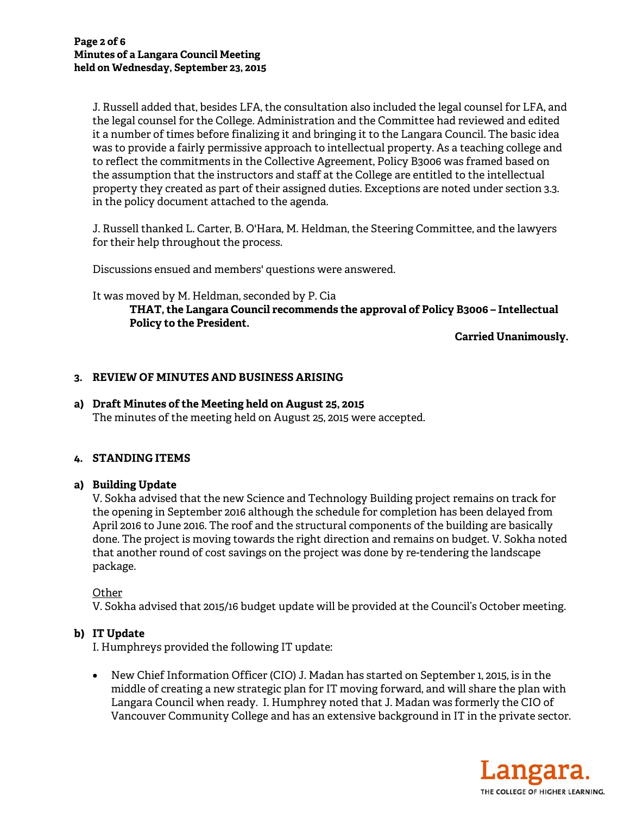J. Russell added that, besides LFA, the consultation also included the legal counsel for LFA, and the legal counsel for the College. Administration and the Committee had reviewed and edited it a number of times before finalizing it and bringing it to the Langara Council. The basic idea was to provide a fairly permissive approach to intellectual property. As a teaching college and to reflect the commitments in the Collective Agreement, Policy B3006 was framed based on the assumption that the instructors and staff at the College are entitled to the intellectual property they created as part of their assigned duties. Exceptions are noted under section 3.3. in the policy document attached to the agenda.

J. Russell thanked L. Carter, B. O'Hara, M. Heldman, the Steering Committee, and the lawyers for their help throughout the process.

Discussions ensued and members' questions were answered.

## It was moved by M. Heldman, seconded by P. Cia **THAT, the Langara Council recommends the approval of Policy B3006 – Intellectual Policy to the President.**

**Carried Unanimously.** 

## **3. REVIEW OF MINUTES AND BUSINESS ARISING**

## **a) Draft Minutes of the Meeting held on August 25, 2015**

The minutes of the meeting held on August 25, 2015 were accepted.

### **4. STANDING ITEMS**

### **a) Building Update**

V. Sokha advised that the new Science and Technology Building project remains on track for the opening in September 2016 although the schedule for completion has been delayed from April 2016 to June 2016. The roof and the structural components of the building are basically done. The project is moving towards the right direction and remains on budget. V. Sokha noted that another round of cost savings on the project was done by re-tendering the landscape package.

**Other** 

V. Sokha advised that 2015/16 budget update will be provided at the Council's October meeting.

### **b) IT Update**

I. Humphreys provided the following IT update:

• New Chief Information Officer (CIO) J. Madan has started on September 1, 2015, is in the middle of creating a new strategic plan for IT moving forward, and will share the plan with Langara Council when ready. I. Humphrey noted that J. Madan was formerly the CIO of Vancouver Community College and has an extensive background in IT in the private sector.

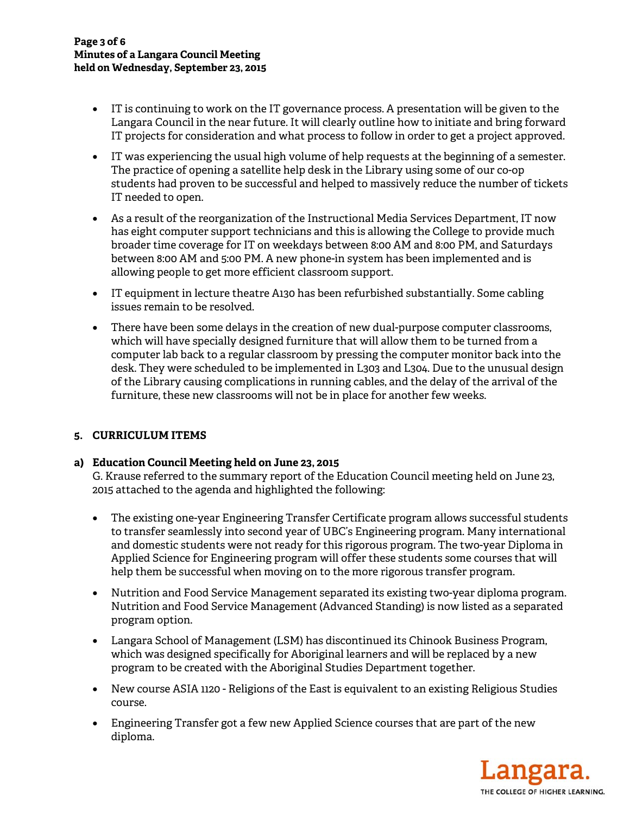- IT is continuing to work on the IT governance process. A presentation will be given to the Langara Council in the near future. It will clearly outline how to initiate and bring forward IT projects for consideration and what process to follow in order to get a project approved.
- IT was experiencing the usual high volume of help requests at the beginning of a semester. The practice of opening a satellite help desk in the Library using some of our co-op students had proven to be successful and helped to massively reduce the number of tickets IT needed to open.
- As a result of the reorganization of the Instructional Media Services Department, IT now has eight computer support technicians and this is allowing the College to provide much broader time coverage for IT on weekdays between 8:00 AM and 8:00 PM, and Saturdays between 8:00 AM and 5:00 PM. A new phone-in system has been implemented and is allowing people to get more efficient classroom support.
- IT equipment in lecture theatre A130 has been refurbished substantially. Some cabling issues remain to be resolved.
- There have been some delays in the creation of new dual-purpose computer classrooms, which will have specially designed furniture that will allow them to be turned from a computer lab back to a regular classroom by pressing the computer monitor back into the desk. They were scheduled to be implemented in L303 and L304. Due to the unusual design of the Library causing complications in running cables, and the delay of the arrival of the furniture, these new classrooms will not be in place for another few weeks.

# **5. CURRICULUM ITEMS**

### **a) Education Council Meeting held on June 23, 2015**

G. Krause referred to the summary report of the Education Council meeting held on June 23, 2015 attached to the agenda and highlighted the following:

- The existing one-year Engineering Transfer Certificate program allows successful students to transfer seamlessly into second year of UBC's Engineering program. Many international and domestic students were not ready for this rigorous program. The two-year Diploma in Applied Science for Engineering program will offer these students some courses that will help them be successful when moving on to the more rigorous transfer program.
- Nutrition and Food Service Management separated its existing two-year diploma program. Nutrition and Food Service Management (Advanced Standing) is now listed as a separated program option.
- Langara School of Management (LSM) has discontinued its Chinook Business Program, which was designed specifically for Aboriginal learners and will be replaced by a new program to be created with the Aboriginal Studies Department together.
- New course ASIA 1120 Religions of the East is equivalent to an existing Religious Studies course.
- Engineering Transfer got a few new Applied Science courses that are part of the new diploma.

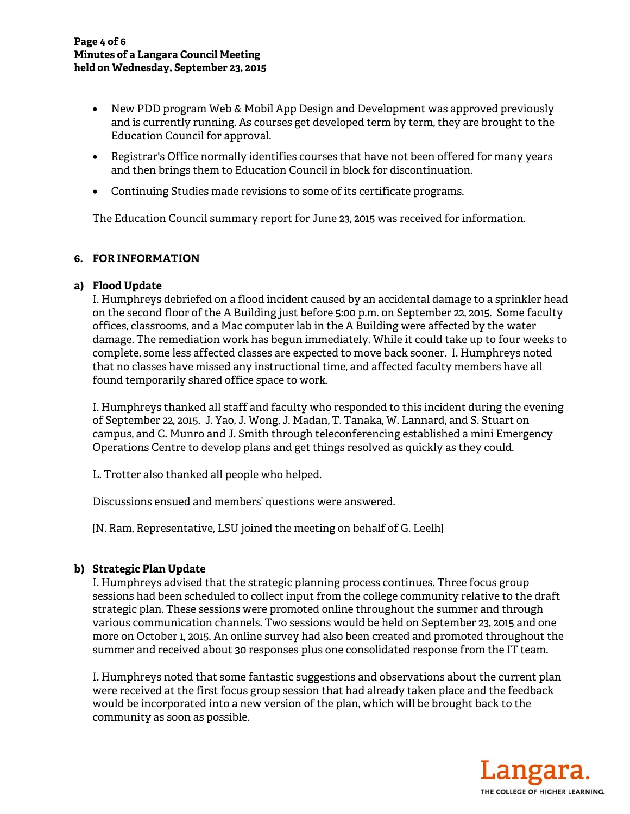- New PDD program Web & Mobil App Design and Development was approved previously and is currently running. As courses get developed term by term, they are brought to the Education Council for approval.
- Registrar's Office normally identifies courses that have not been offered for many years and then brings them to Education Council in block for discontinuation.
- Continuing Studies made revisions to some of its certificate programs.

The Education Council summary report for June 23, 2015 was received for information.

### **6. FOR INFORMATION**

### **a) Flood Update**

I. Humphreys debriefed on a flood incident caused by an accidental damage to a sprinkler head on the second floor of the A Building just before 5:00 p.m. on September 22, 2015. Some faculty offices, classrooms, and a Mac computer lab in the A Building were affected by the water damage. The remediation work has begun immediately. While it could take up to four weeks to complete, some less affected classes are expected to move back sooner. I. Humphreys noted that no classes have missed any instructional time, and affected faculty members have all found temporarily shared office space to work.

I. Humphreys thanked all staff and faculty who responded to this incident during the evening of September 22, 2015. J. Yao, J. Wong, J. Madan, T. Tanaka, W. Lannard, and S. Stuart on campus, and C. Munro and J. Smith through teleconferencing established a mini Emergency Operations Centre to develop plans and get things resolved as quickly as they could.

L. Trotter also thanked all people who helped.

Discussions ensued and members' questions were answered.

[N. Ram, Representative, LSU joined the meeting on behalf of G. Leelh]

# **b) Strategic Plan Update**

I. Humphreys advised that the strategic planning process continues. Three focus group sessions had been scheduled to collect input from the college community relative to the draft strategic plan. These sessions were promoted online throughout the summer and through various communication channels. Two sessions would be held on September 23, 2015 and one more on October 1, 2015. An online survey had also been created and promoted throughout the summer and received about 30 responses plus one consolidated response from the IT team.

I. Humphreys noted that some fantastic suggestions and observations about the current plan were received at the first focus group session that had already taken place and the feedback would be incorporated into a new version of the plan, which will be brought back to the community as soon as possible.

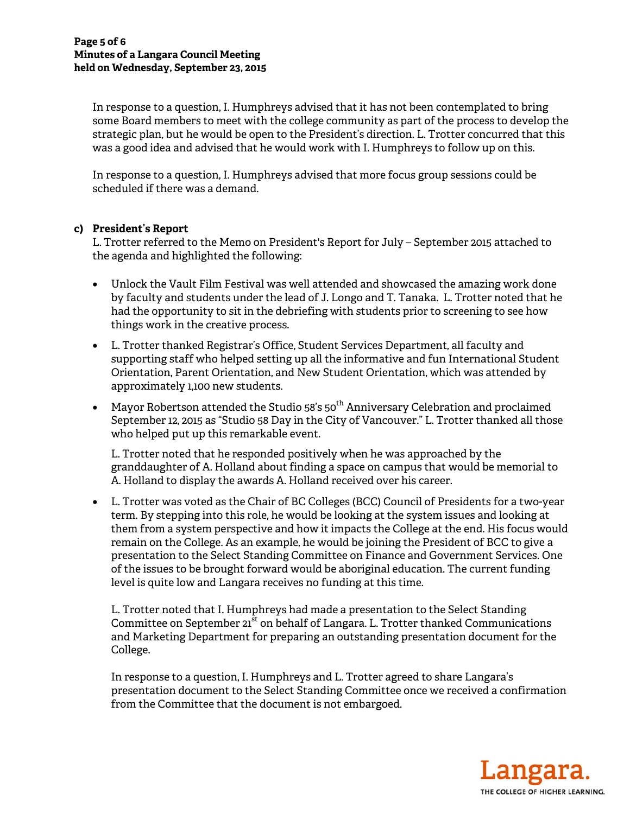In response to a question, I. Humphreys advised that it has not been contemplated to bring some Board members to meet with the college community as part of the process to develop the strategic plan, but he would be open to the President's direction. L. Trotter concurred that this was a good idea and advised that he would work with I. Humphreys to follow up on this.

In response to a question, I. Humphreys advised that more focus group sessions could be scheduled if there was a demand.

### **c) President's Report**

L. Trotter referred to the Memo on President's Report for July – September 2015 attached to the agenda and highlighted the following:

- Unlock the Vault Film Festival was well attended and showcased the amazing work done by faculty and students under the lead of J. Longo and T. Tanaka. L. Trotter noted that he had the opportunity to sit in the debriefing with students prior to screening to see how things work in the creative process.
- L. Trotter thanked Registrar's Office, Student Services Department, all faculty and supporting staff who helped setting up all the informative and fun International Student Orientation, Parent Orientation, and New Student Orientation, which was attended by approximately 1,100 new students.
- Mayor Robertson attended the Studio 58's  $50^{th}$  Anniversary Celebration and proclaimed September 12, 2015 as "Studio 58 Day in the City of Vancouver." L. Trotter thanked all those who helped put up this remarkable event.

L. Trotter noted that he responded positively when he was approached by the granddaughter of A. Holland about finding a space on campus that would be memorial to A. Holland to display the awards A. Holland received over his career.

• L. Trotter was voted as the Chair of BC Colleges (BCC) Council of Presidents for a two-year term. By stepping into this role, he would be looking at the system issues and looking at them from a system perspective and how it impacts the College at the end. His focus would remain on the College. As an example, he would be joining the President of BCC to give a presentation to the Select Standing Committee on Finance and Government Services. One of the issues to be brought forward would be aboriginal education. The current funding level is quite low and Langara receives no funding at this time.

L. Trotter noted that I. Humphreys had made a presentation to the Select Standing Committee on September 21<sup>st</sup> on behalf of Langara. L. Trotter thanked Communications and Marketing Department for preparing an outstanding presentation document for the College.

In response to a question, I. Humphreys and L. Trotter agreed to share Langara's presentation document to the Select Standing Committee once we received a confirmation from the Committee that the document is not embargoed.